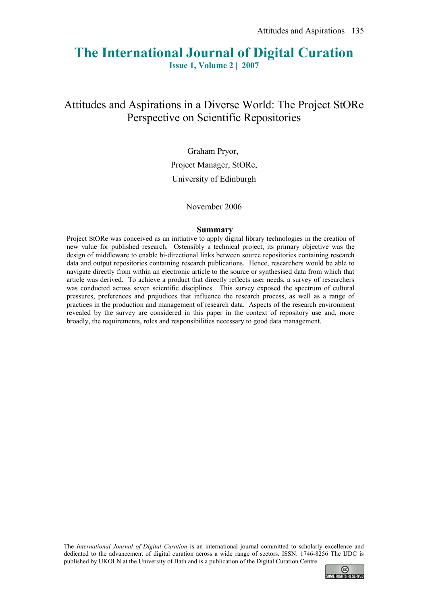# **The International Journal of Digital Curation**

**Issue 1, Volume 2 | 2007**

## Attitudes and Aspirations in a Diverse World: The Project StORe Perspective on Scientific Repositories

Graham Pryor, Project Manager, StORe, University of Edinburgh

#### November 2006

#### **Summary**

Project StORe was conceived as an initiative to apply digital library technologies in the creation of new value for published research. Ostensibly a technical project, its primary objective was the design of middleware to enable bi-directional links between source repositories containing research data and output repositories containing research publications. Hence, researchers would be able to navigate directly from within an electronic article to the source or synthesised data from which that article was derived. To achieve a product that directly reflects user needs, a survey of researchers was conducted across seven scientific disciplines. This survey exposed the spectrum of cultural pressures, preferences and prejudices that influence the research process, as well as a range of practices in the production and management of research data. Aspects of the research environment revealed by the survey are considered in this paper in the context of repository use and, more broadly, the requirements, roles and responsibilities necessary to good data management.

The *International Journal of Digital Curation* is an international journal committed to scholarly excellence and dedicated to the advancement of digital curation across a wide range of sectors. ISSN: 1746-8256 The IJDC is published by UKOLN at the University of Bath and is a publication of the Digital Curation Centre.

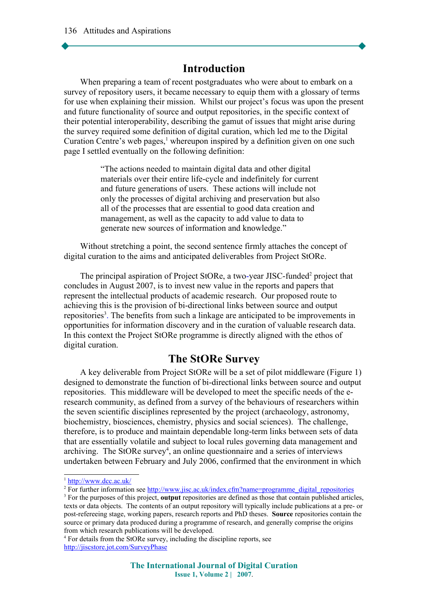#### **Introduction**

When preparing a team of recent postgraduates who were about to embark on a survey of repository users, it became necessary to equip them with a glossary of terms for use when explaining their mission. Whilst our project's focus was upon the present and future functionality of source and output repositories, in the specific context of their potential interoperability, describing the gamut of issues that might arise during the survey required some definition of digital curation, which led me to the Digital Curation Centre's web pages,<sup>[1](#page-1-0)</sup> whereupon inspired by a definition given on one such page I settled eventually on the following definition:

> "The actions needed to maintain digital data and other digital materials over their entire life-cycle and indefinitely for current and future generations of users. These actions will include not only the processes of digital archiving and preservation but also all of the processes that are essential to good data creation and management, as well as the capacity to add value to data to generate new sources of information and knowledge."

Without stretching a point, the second sentence firmly attaches the concept of digital curation to the aims and anticipated deliverables from Project StORe.

The principal aspiration of Project StORe, a two-year JISC-funded<sup>[2](#page-1-1)</sup> project that concludes in August 2007, is to invest new value in the reports and papers that represent the intellectual products of academic research. Our proposed route to achieving this is the provision of bi-directional links between source and output repositories<sup>[3](#page-1-2)</sup>. The benefits from such a linkage are anticipated to be improvements in opportunities for information discovery and in the curation of valuable research data. In this context the Project StORe programme is directly aligned with the ethos of digital curation.

## **The StORe Survey**

A key deliverable from Project StORe will be a set of pilot middleware (Figure 1) designed to demonstrate the function of bi-directional links between source and output repositories. This middleware will be developed to meet the specific needs of the eresearch community, as defined from a survey of the behaviours of researchers within the seven scientific disciplines represented by the project (archaeology, astronomy, biochemistry, biosciences, chemistry, physics and social sciences). The challenge, therefore, is to produce and maintain dependable long-term links between sets of data that are essentially volatile and subject to local rules governing data management and archiving. The StORe survey<sup>[4](#page-1-3)</sup>, an online questionnaire and a series of interviews undertaken between February and July 2006, confirmed that the environment in which

<span id="page-1-0"></span><sup>&</sup>lt;sup>1</sup> <http://www.dcc.ac.uk/>

<span id="page-1-1"></span><sup>&</sup>lt;sup>2</sup> For further information see [http://www.jisc.ac.uk/index.cfm?name=programme\\_digital\\_repositories](http://www.jisc.ac.uk/index.cfm?name=programme_digital_repositories)

<span id="page-1-2"></span><sup>3</sup> For the purposes of this project, **output** repositories are defined as those that contain published articles, texts or data objects. The contents of an output repository will typically include publications at a pre- or post-refereeing stage, working papers, research reports and PhD theses. **Source** repositories contain the source or primary data produced during a programme of research, and generally comprise the origins from which research publications will be developed.

<span id="page-1-3"></span><sup>4</sup> For details from the StORe survey, including the discipline reports, see <http://jiscstore.jot.com/SurveyPhase>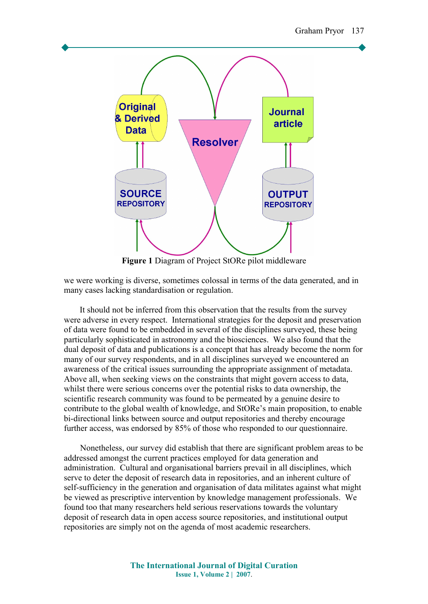

**Figure 1** Diagram of Project StORe pilot middleware

we were working is diverse, sometimes colossal in terms of the data generated, and in many cases lacking standardisation or regulation.

 It should not be inferred from this observation that the results from the survey were adverse in every respect. International strategies for the deposit and preservation of data were found to be embedded in several of the disciplines surveyed, these being particularly sophisticated in astronomy and the biosciences. We also found that the dual deposit of data and publications is a concept that has already become the norm for many of our survey respondents, and in all disciplines surveyed we encountered an awareness of the critical issues surrounding the appropriate assignment of metadata. Above all, when seeking views on the constraints that might govern access to data, whilst there were serious concerns over the potential risks to data ownership, the scientific research community was found to be permeated by a genuine desire to contribute to the global wealth of knowledge, and StORe's main proposition, to enable bi-directional links between source and output repositories and thereby encourage further access, was endorsed by 85% of those who responded to our questionnaire.

Nonetheless, our survey did establish that there are significant problem areas to be addressed amongst the current practices employed for data generation and administration. Cultural and organisational barriers prevail in all disciplines, which serve to deter the deposit of research data in repositories, and an inherent culture of self-sufficiency in the generation and organisation of data militates against what might be viewed as prescriptive intervention by knowledge management professionals. We found too that many researchers held serious reservations towards the voluntary deposit of research data in open access source repositories, and institutional output repositories are simply not on the agenda of most academic researchers.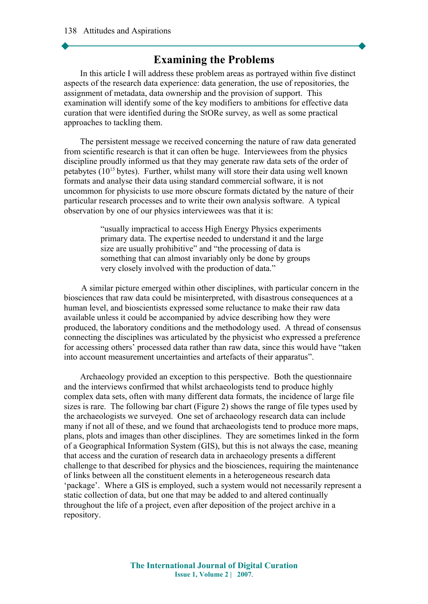## **Examining the Problems**

In this article I will address these problem areas as portrayed within five distinct aspects of the research data experience: data generation, the use of repositories, the assignment of metadata, data ownership and the provision of support. This examination will identify some of the key modifiers to ambitions for effective data curation that were identified during the StORe survey, as well as some practical approaches to tackling them.

The persistent message we received concerning the nature of raw data generated from scientific research is that it can often be huge. Interviewees from the physics discipline proudly informed us that they may generate raw data sets of the order of petabytes  $(10^{15}$  bytes). Further, whilst many will store their data using well known formats and analyse their data using standard commercial software, it is not uncommon for physicists to use more obscure formats dictated by the nature of their particular research processes and to write their own analysis software. A typical observation by one of our physics interviewees was that it is:

> "usually impractical to access High Energy Physics experiments primary data. The expertise needed to understand it and the large size are usually prohibitive" and "the processing of data is something that can almost invariably only be done by groups very closely involved with the production of data."

 A similar picture emerged within other disciplines, with particular concern in the biosciences that raw data could be misinterpreted, with disastrous consequences at a human level, and bioscientists expressed some reluctance to make their raw data available unless it could be accompanied by advice describing how they were produced, the laboratory conditions and the methodology used. A thread of consensus connecting the disciplines was articulated by the physicist who expressed a preference for accessing others' processed data rather than raw data, since this would have "taken into account measurement uncertainties and artefacts of their apparatus".

Archaeology provided an exception to this perspective. Both the questionnaire and the interviews confirmed that whilst archaeologists tend to produce highly complex data sets, often with many different data formats, the incidence of large file sizes is rare. The following bar chart (Figure 2) shows the range of file types used by the archaeologists we surveyed. One set of archaeology research data can include many if not all of these, and we found that archaeologists tend to produce more maps, plans, plots and images than other disciplines. They are sometimes linked in the form of a Geographical Information System (GIS), but this is not always the case, meaning that access and the curation of research data in archaeology presents a different challenge to that described for physics and the biosciences, requiring the maintenance of links between all the constituent elements in a heterogeneous research data 'package'. Where a GIS is employed, such a system would not necessarily represent a static collection of data, but one that may be added to and altered continually throughout the life of a project, even after deposition of the project archive in a repository.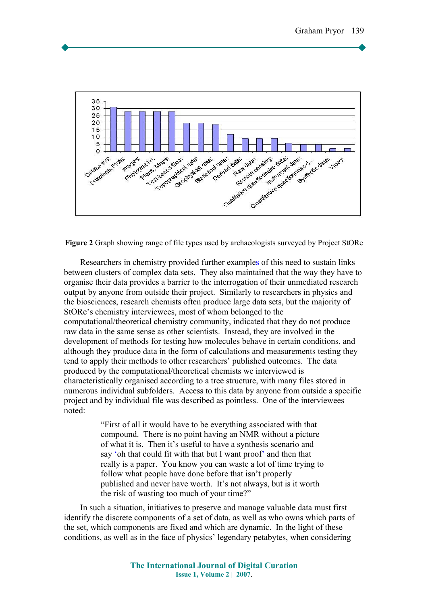

**Figure 2** Graph showing range of file types used by archaeologists surveyed by Project StORe

Researchers in chemistry provided further examples of this need to sustain links between clusters of complex data sets. They also maintained that the way they have to organise their data provides a barrier to the interrogation of their unmediated research output by anyone from outside their project. Similarly to researchers in physics and the biosciences, research chemists often produce large data sets, but the majority of StORe's chemistry interviewees, most of whom belonged to the computational/theoretical chemistry community, indicated that they do not produce raw data in the same sense as other scientists. Instead, they are involved in the development of methods for testing how molecules behave in certain conditions, and although they produce data in the form of calculations and measurements testing they tend to apply their methods to other researchers' published outcomes. The data produced by the computational/theoretical chemists we interviewed is characteristically organised according to a tree structure, with many files stored in numerous individual subfolders. Access to this data by anyone from outside a specific project and by individual file was described as pointless. One of the interviewees noted:

> "First of all it would have to be everything associated with that compound. There is no point having an NMR without a picture of what it is. Then it's useful to have a synthesis scenario and say 'oh that could fit with that but I want proof' and then that really is a paper. You know you can waste a lot of time trying to follow what people have done before that isn't properly published and never have worth. It's not always, but is it worth the risk of wasting too much of your time?"

In such a situation, initiatives to preserve and manage valuable data must first identify the discrete components of a set of data, as well as who owns which parts of the set, which components are fixed and which are dynamic. In the light of these conditions, as well as in the face of physics' legendary petabytes, when considering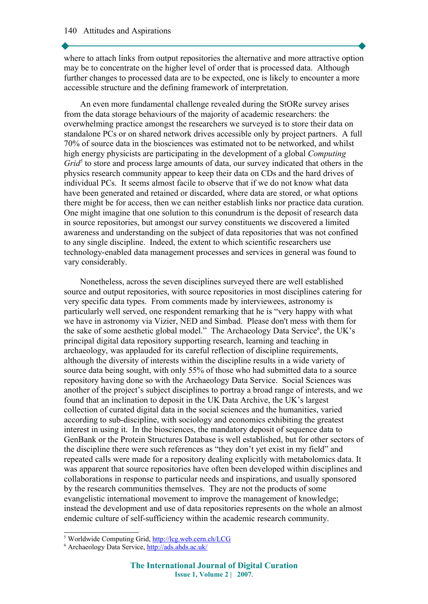where to attach links from output repositories the alternative and more attractive option may be to concentrate on the higher level of order that is processed data. Although further changes to processed data are to be expected, one is likely to encounter a more accessible structure and the defining framework of interpretation.

An even more fundamental challenge revealed during the StORe survey arises from the data storage behaviours of the majority of academic researchers: the overwhelming practice amongst the researchers we surveyed is to store their data on standalone PCs or on shared network drives accessible only by project partners. A full 70% of source data in the biosciences was estimated not to be networked, and whilst high energy physicists are participating in the development of a global *Computing* Grid<sup>[5](#page-5-0)</sup> to store and process large amounts of data, our survey indicated that others in the physics research community appear to keep their data on CDs and the hard drives of individual PCs. It seems almost facile to observe that if we do not know what data have been generated and retained or discarded, where data are stored, or what options there might be for access, then we can neither establish links nor practice data curation. One might imagine that one solution to this conundrum is the deposit of research data in source repositories, but amongst our survey constituents we discovered a limited awareness and understanding on the subject of data repositories that was not confined to any single discipline. Indeed, the extent to which scientific researchers use technology-enabled data management processes and services in general was found to vary considerably.

Nonetheless, across the seven disciplines surveyed there are well established source and output repositories, with source repositories in most disciplines catering for very specific data types. From comments made by interviewees, astronomy is particularly well served, one respondent remarking that he is "very happy with what we have in astronomy via Vizier, NED and Simbad. Please don't mess with them for the sake of some aesthetic global model." The Archaeology Data Service<sup>[6](#page-5-1)</sup>, the UK's principal digital data repository supporting research, learning and teaching in archaeology, was applauded for its careful reflection of discipline requirements, although the diversity of interests within the discipline results in a wide variety of source data being sought, with only 55% of those who had submitted data to a source repository having done so with the Archaeology Data Service. Social Sciences was another of the project's subject disciplines to portray a broad range of interests, and we found that an inclination to deposit in the UK Data Archive, the UK's largest collection of curated digital data in the social sciences and the humanities, varied according to sub-discipline, with sociology and economics exhibiting the greatest interest in using it. In the biosciences, the mandatory deposit of sequence data to GenBank or the Protein Structures Database is well established, but for other sectors of the discipline there were such references as "they don't yet exist in my field" and repeated calls were made for a repository dealing explicitly with metabolomics data. It was apparent that source repositories have often been developed within disciplines and collaborations in response to particular needs and inspirations, and usually sponsored by the research communities themselves. They are not the products of some evangelistic international movement to improve the management of knowledge; instead the development and use of data repositories represents on the whole an almost endemic culture of self-sufficiency within the academic research community.

<span id="page-5-0"></span><sup>&</sup>lt;sup>5</sup> Worldwide Computing Grid,<http://lcg.web.cern.ch/LCG>

<span id="page-5-1"></span><sup>&</sup>lt;sup>6</sup> Archaeology Data Service, **<http://ads.ahds.ac.uk/>**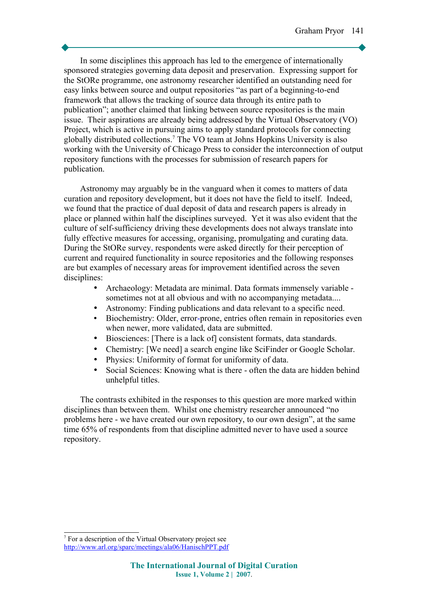In some disciplines this approach has led to the emergence of internationally sponsored strategies governing data deposit and preservation. Expressing support for the StORe programme, one astronomy researcher identified an outstanding need for easy links between source and output repositories "as part of a beginning-to-end framework that allows the tracking of source data through its entire path to publication"; another claimed that linking between source repositories is the main issue. Their aspirations are already being addressed by the Virtual Observatory (VO) Project, which is active in pursuing aims to apply standard protocols for connecting globally distributed collections.[7](#page-6-0) The VO team at Johns Hopkins University is also working with the University of Chicago Press to consider the interconnection of output repository functions with the processes for submission of research papers for publication.

Astronomy may arguably be in the vanguard when it comes to matters of data curation and repository development, but it does not have the field to itself. Indeed, we found that the practice of dual deposit of data and research papers is already in place or planned within half the disciplines surveyed. Yet it was also evident that the culture of self-sufficiency driving these developments does not always translate into fully effective measures for accessing, organising, promulgating and curating data. During the StORe survey, respondents were asked directly for their perception of current and required functionality in source repositories and the following responses are but examples of necessary areas for improvement identified across the seven disciplines:

- Archaeology: Metadata are minimal. Data formats immensely variable sometimes not at all obvious and with no accompanying metadata....
- Astronomy: Finding publications and data relevant to a specific need.
- Biochemistry: Older, error-prone, entries often remain in repositories even when newer, more validated, data are submitted.
- Biosciences: [There is a lack of] consistent formats, data standards.
- Chemistry: [We need] a search engine like SciFinder or Google Scholar.
- Physics: Uniformity of format for uniformity of data.
- Social Sciences: Knowing what is there often the data are hidden behind unhelpful titles.

The contrasts exhibited in the responses to this question are more marked within disciplines than between them. Whilst one chemistry researcher announced "no problems here - we have created our own repository, to our own design", at the same time 65% of respondents from that discipline admitted never to have used a source repository.

<span id="page-6-0"></span><sup>7</sup> For a description of the Virtual Observatory project see <http://www.arl.org/sparc/meetings/ala06/HanischPPT.pdf>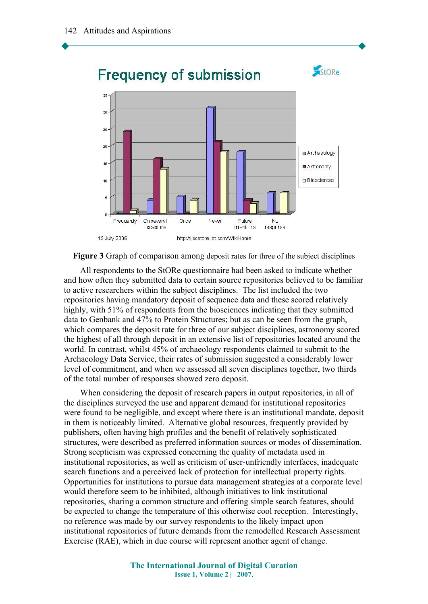

**Figure 3** Graph of comparison among deposit rates for three of the subject disciplines

All respondents to the StORe questionnaire had been asked to indicate whether and how often they submitted data to certain source repositories believed to be familiar to active researchers within the subject disciplines. The list included the two repositories having mandatory deposit of sequence data and these scored relatively highly, with 51% of respondents from the biosciences indicating that they submitted data to Genbank and 47% to Protein Structures; but as can be seen from the graph, which compares the deposit rate for three of our subject disciplines, astronomy scored the highest of all through deposit in an extensive list of repositories located around the world. In contrast, whilst 45% of archaeology respondents claimed to submit to the Archaeology Data Service, their rates of submission suggested a considerably lower level of commitment, and when we assessed all seven disciplines together, two thirds of the total number of responses showed zero deposit.

When considering the deposit of research papers in output repositories, in all of the disciplines surveyed the use and apparent demand for institutional repositories were found to be negligible, and except where there is an institutional mandate, deposit in them is noticeably limited. Alternative global resources, frequently provided by publishers, often having high profiles and the benefit of relatively sophisticated structures, were described as preferred information sources or modes of dissemination. Strong scepticism was expressed concerning the quality of metadata used in institutional repositories, as well as criticism of user-unfriendly interfaces, inadequate search functions and a perceived lack of protection for intellectual property rights. Opportunities for institutions to pursue data management strategies at a corporate level would therefore seem to be inhibited, although initiatives to link institutional repositories, sharing a common structure and offering simple search features, should be expected to change the temperature of this otherwise cool reception. Interestingly, no reference was made by our survey respondents to the likely impact upon institutional repositories of future demands from the remodelled Research Assessment Exercise (RAE), which in due course will represent another agent of change.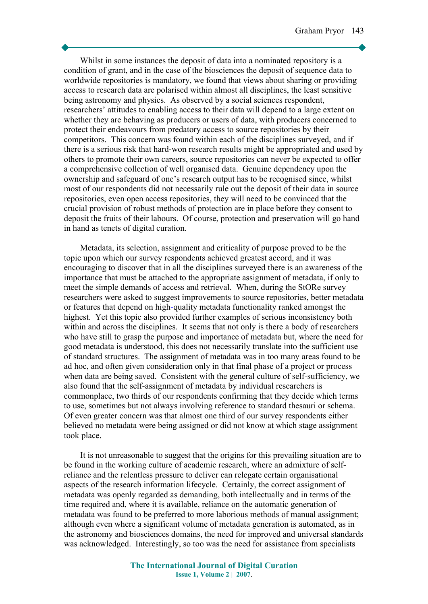Whilst in some instances the deposit of data into a nominated repository is a condition of grant, and in the case of the biosciences the deposit of sequence data to worldwide repositories is mandatory, we found that views about sharing or providing access to research data are polarised within almost all disciplines, the least sensitive being astronomy and physics. As observed by a social sciences respondent, researchers' attitudes to enabling access to their data will depend to a large extent on whether they are behaving as producers or users of data, with producers concerned to protect their endeavours from predatory access to source repositories by their competitors. This concern was found within each of the disciplines surveyed, and if there is a serious risk that hard-won research results might be appropriated and used by others to promote their own careers, source repositories can never be expected to offer a comprehensive collection of well organised data. Genuine dependency upon the ownership and safeguard of one's research output has to be recognised since, whilst most of our respondents did not necessarily rule out the deposit of their data in source repositories, even open access repositories, they will need to be convinced that the crucial provision of robust methods of protection are in place before they consent to deposit the fruits of their labours. Of course, protection and preservation will go hand in hand as tenets of digital curation.

Metadata, its selection, assignment and criticality of purpose proved to be the topic upon which our survey respondents achieved greatest accord, and it was encouraging to discover that in all the disciplines surveyed there is an awareness of the importance that must be attached to the appropriate assignment of metadata, if only to meet the simple demands of access and retrieval. When, during the StORe survey researchers were asked to suggest improvements to source repositories, better metadata or features that depend on high-quality metadata functionality ranked amongst the highest. Yet this topic also provided further examples of serious inconsistency both within and across the disciplines. It seems that not only is there a body of researchers who have still to grasp the purpose and importance of metadata but, where the need for good metadata is understood, this does not necessarily translate into the sufficient use of standard structures. The assignment of metadata was in too many areas found to be ad hoc, and often given consideration only in that final phase of a project or process when data are being saved. Consistent with the general culture of self-sufficiency, we also found that the self-assignment of metadata by individual researchers is commonplace, two thirds of our respondents confirming that they decide which terms to use, sometimes but not always involving reference to standard thesauri or schema. Of even greater concern was that almost one third of our survey respondents either believed no metadata were being assigned or did not know at which stage assignment took place.

It is not unreasonable to suggest that the origins for this prevailing situation are to be found in the working culture of academic research, where an admixture of selfreliance and the relentless pressure to deliver can relegate certain organisational aspects of the research information lifecycle. Certainly, the correct assignment of metadata was openly regarded as demanding, both intellectually and in terms of the time required and, where it is available, reliance on the automatic generation of metadata was found to be preferred to more laborious methods of manual assignment; although even where a significant volume of metadata generation is automated, as in the astronomy and biosciences domains, the need for improved and universal standards was acknowledged. Interestingly, so too was the need for assistance from specialists